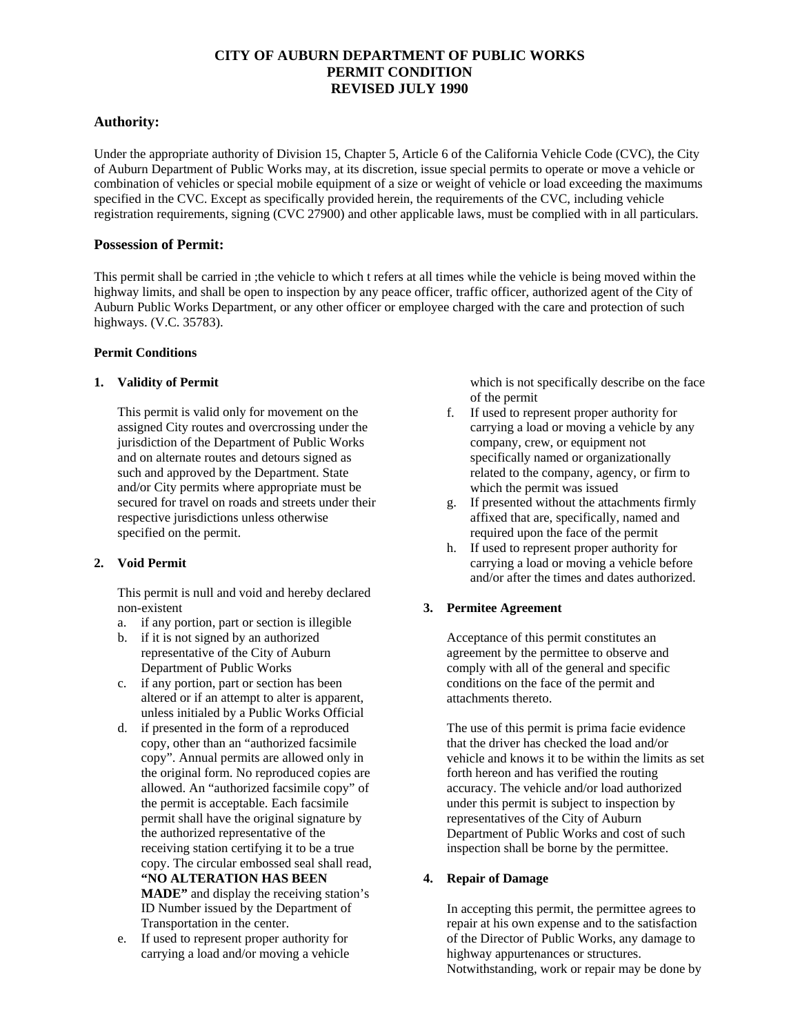# **CITY OF AUBURN DEPARTMENT OF PUBLIC WORKS PERMIT CONDITION REVISED JULY 1990**

# **Authority:**

Under the appropriate authority of Division 15, Chapter 5, Article 6 of the California Vehicle Code (CVC), the City of Auburn Department of Public Works may, at its discretion, issue special permits to operate or move a vehicle or combination of vehicles or special mobile equipment of a size or weight of vehicle or load exceeding the maximums specified in the CVC. Except as specifically provided herein, the requirements of the CVC, including vehicle registration requirements, signing (CVC 27900) and other applicable laws, must be complied with in all particulars.

### **Possession of Permit:**

This permit shall be carried in ;the vehicle to which t refers at all times while the vehicle is being moved within the highway limits, and shall be open to inspection by any peace officer, traffic officer, authorized agent of the City of Auburn Public Works Department, or any other officer or employee charged with the care and protection of such highways. (V.C. 35783).

### **Permit Conditions**

### **1. Validity of Permit**

This permit is valid only for movement on the assigned City routes and overcrossing under the jurisdiction of the Department of Public Works and on alternate routes and detours signed as such and approved by the Department. State and/or City permits where appropriate must be secured for travel on roads and streets under their respective jurisdictions unless otherwise specified on the permit.

# **2. Void Permit**

This permit is null and void and hereby declared non-existent

- a. if any portion, part or section is illegible
- b. if it is not signed by an authorized representative of the City of Auburn Department of Public Works
- c. if any portion, part or section has been altered or if an attempt to alter is apparent, unless initialed by a Public Works Official
- d. if presented in the form of a reproduced copy, other than an "authorized facsimile copy". Annual permits are allowed only in the original form. No reproduced copies are allowed. An "authorized facsimile copy" of the permit is acceptable. Each facsimile permit shall have the original signature by the authorized representative of the receiving station certifying it to be a true copy. The circular embossed seal shall read, **"NO ALTERATION HAS BEEN MADE"** and display the receiving station's ID Number issued by the Department of Transportation in the center.
- e. If used to represent proper authority for carrying a load and/or moving a vehicle

which is not specifically describe on the face of the permit

- f. If used to represent proper authority for carrying a load or moving a vehicle by any company, crew, or equipment not specifically named or organizationally related to the company, agency, or firm to which the permit was issued
- g. If presented without the attachments firmly affixed that are, specifically, named and required upon the face of the permit
- h. If used to represent proper authority for carrying a load or moving a vehicle before and/or after the times and dates authorized.

# **3. Permitee Agreement**

Acceptance of this permit constitutes an agreement by the permittee to observe and comply with all of the general and specific conditions on the face of the permit and attachments thereto.

The use of this permit is prima facie evidence that the driver has checked the load and/or vehicle and knows it to be within the limits as set forth hereon and has verified the routing accuracy. The vehicle and/or load authorized under this permit is subject to inspection by representatives of the City of Auburn Department of Public Works and cost of such inspection shall be borne by the permittee.

# **4. Repair of Damage**

In accepting this permit, the permittee agrees to repair at his own expense and to the satisfaction of the Director of Public Works, any damage to highway appurtenances or structures. Notwithstanding, work or repair may be done by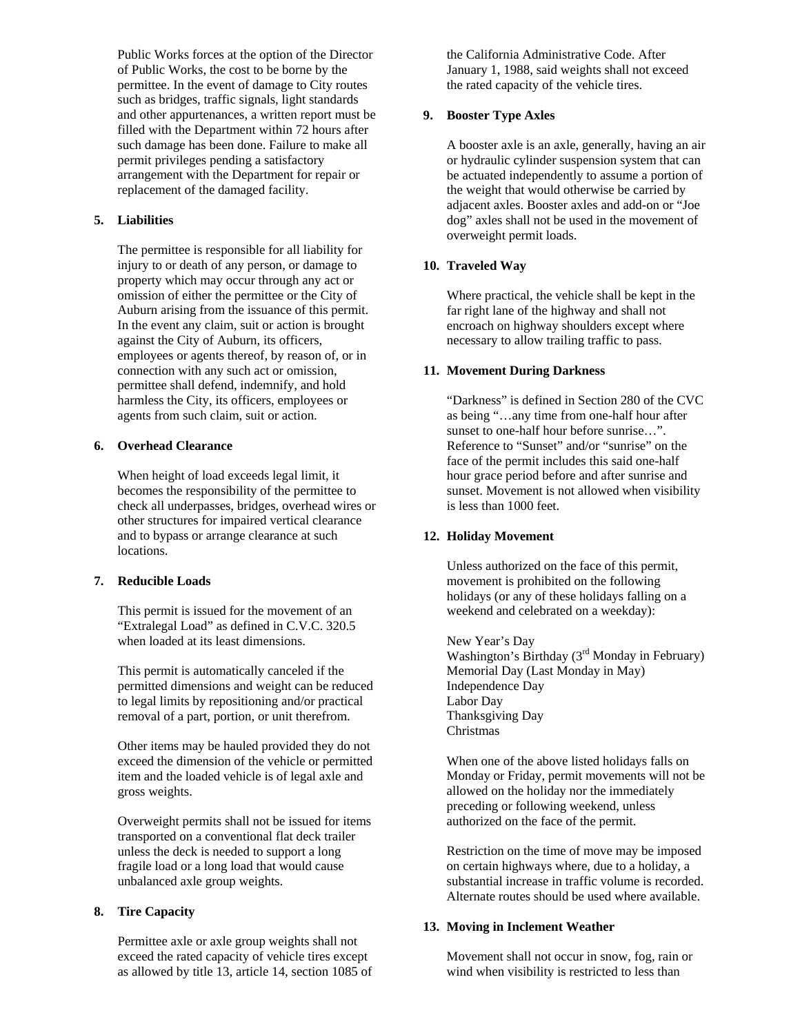Public Works forces at the option of the Director of Public Works, the cost to be borne by the permittee. In the event of damage to City routes such as bridges, traffic signals, light standards and other appurtenances, a written report must be filled with the Department within 72 hours after such damage has been done. Failure to make all permit privileges pending a satisfactory arrangement with the Department for repair or replacement of the damaged facility.

#### **5. Liabilities**

The permittee is responsible for all liability for injury to or death of any person, or damage to property which may occur through any act or omission of either the permittee or the City of Auburn arising from the issuance of this permit. In the event any claim, suit or action is brought against the City of Auburn, its officers, employees or agents thereof, by reason of, or in connection with any such act or omission, permittee shall defend, indemnify, and hold harmless the City, its officers, employees or agents from such claim, suit or action.

### **6. Overhead Clearance**

When height of load exceeds legal limit, it becomes the responsibility of the permittee to check all underpasses, bridges, overhead wires or other structures for impaired vertical clearance and to bypass or arrange clearance at such locations.

### **7. Reducible Loads**

This permit is issued for the movement of an "Extralegal Load" as defined in C.V.C. 320.5 when loaded at its least dimensions.

This permit is automatically canceled if the permitted dimensions and weight can be reduced to legal limits by repositioning and/or practical removal of a part, portion, or unit therefrom.

Other items may be hauled provided they do not exceed the dimension of the vehicle or permitted item and the loaded vehicle is of legal axle and gross weights.

Overweight permits shall not be issued for items transported on a conventional flat deck trailer unless the deck is needed to support a long fragile load or a long load that would cause unbalanced axle group weights.

# **8. Tire Capacity**

Permittee axle or axle group weights shall not exceed the rated capacity of vehicle tires except as allowed by title 13, article 14, section 1085 of the California Administrative Code. After January 1, 1988, said weights shall not exceed the rated capacity of the vehicle tires.

### **9. Booster Type Axles**

A booster axle is an axle, generally, having an air or hydraulic cylinder suspension system that can be actuated independently to assume a portion of the weight that would otherwise be carried by adjacent axles. Booster axles and add-on or "Joe dog" axles shall not be used in the movement of overweight permit loads.

#### **10. Traveled Way**

Where practical, the vehicle shall be kept in the far right lane of the highway and shall not encroach on highway shoulders except where necessary to allow trailing traffic to pass.

#### **11. Movement During Darkness**

"Darkness" is defined in Section 280 of the CVC as being "…any time from one-half hour after sunset to one-half hour before sunrise…". Reference to "Sunset" and/or "sunrise" on the face of the permit includes this said one-half hour grace period before and after sunrise and sunset. Movement is not allowed when visibility is less than 1000 feet.

#### **12. Holiday Movement**

Unless authorized on the face of this permit, movement is prohibited on the following holidays (or any of these holidays falling on a weekend and celebrated on a weekday):

New Year's Day Washington's Birthday (3<sup>rd</sup> Monday in February) Memorial Day (Last Monday in May) Independence Day Labor Day Thanksgiving Day Christmas

When one of the above listed holidays falls on Monday or Friday, permit movements will not be allowed on the holiday nor the immediately preceding or following weekend, unless authorized on the face of the permit.

Restriction on the time of move may be imposed on certain highways where, due to a holiday, a substantial increase in traffic volume is recorded. Alternate routes should be used where available.

#### **13. Moving in Inclement Weather**

Movement shall not occur in snow, fog, rain or wind when visibility is restricted to less than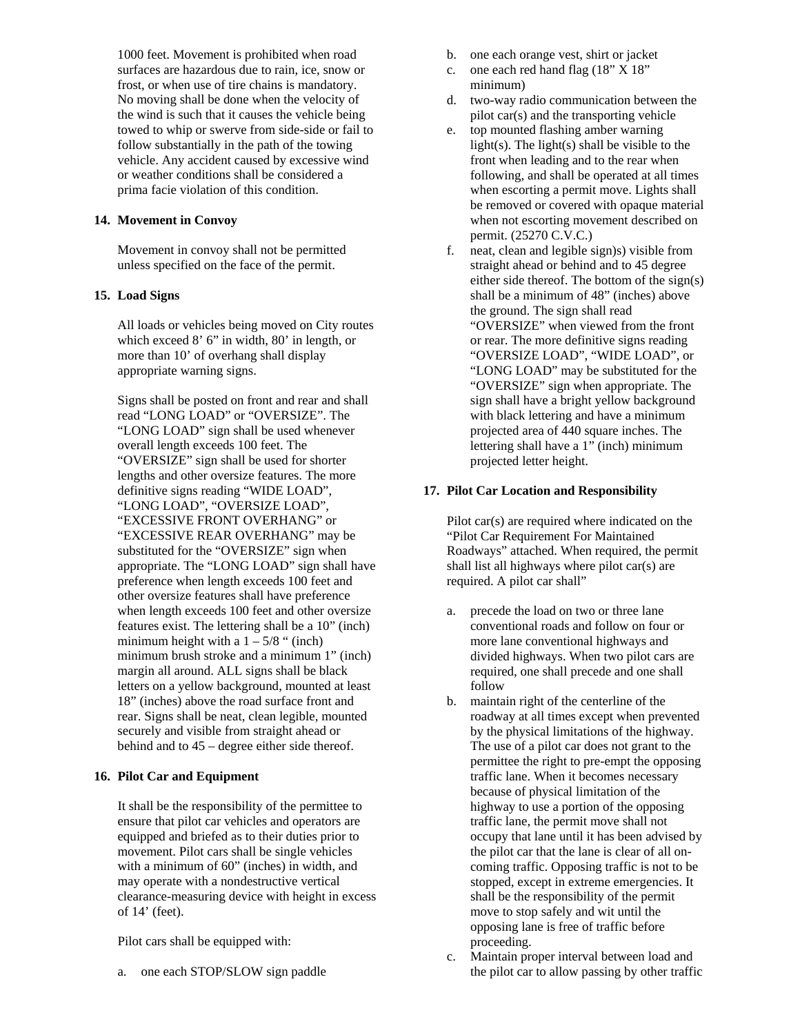1000 feet. Movement is prohibited when road surfaces are hazardous due to rain, ice, snow or frost, or when use of tire chains is mandatory. No moving shall be done when the velocity of the wind is such that it causes the vehicle being towed to whip or swerve from side-side or fail to follow substantially in the path of the towing vehicle. Any accident caused by excessive wind or weather conditions shall be considered a prima facie violation of this condition.

#### **14. Movement in Convoy**

Movement in convoy shall not be permitted unless specified on the face of the permit.

# **15. Load Signs**

All loads or vehicles being moved on City routes which exceed 8' 6" in width, 80' in length, or more than 10' of overhang shall display appropriate warning signs.

Signs shall be posted on front and rear and shall read "LONG LOAD" or "OVERSIZE". The "LONG LOAD" sign shall be used whenever overall length exceeds 100 feet. The "OVERSIZE" sign shall be used for shorter lengths and other oversize features. The more definitive signs reading "WIDE LOAD", "LONG LOAD", "OVERSIZE LOAD", "EXCESSIVE FRONT OVERHANG" or "EXCESSIVE REAR OVERHANG" may be substituted for the "OVERSIZE" sign when appropriate. The "LONG LOAD" sign shall have preference when length exceeds 100 feet and other oversize features shall have preference when length exceeds 100 feet and other oversize features exist. The lettering shall be a 10" (inch) minimum height with a  $1 - 5/8$  " (inch) minimum brush stroke and a minimum 1" (inch) margin all around. ALL signs shall be black letters on a yellow background, mounted at least 18" (inches) above the road surface front and rear. Signs shall be neat, clean legible, mounted securely and visible from straight ahead or behind and to 45 – degree either side thereof.

# **16. Pilot Car and Equipment**

It shall be the responsibility of the permittee to ensure that pilot car vehicles and operators are equipped and briefed as to their duties prior to movement. Pilot cars shall be single vehicles with a minimum of 60" (inches) in width, and may operate with a nondestructive vertical clearance-measuring device with height in excess of 14' (feet).

Pilot cars shall be equipped with:

a. one each STOP/SLOW sign paddle

- b. one each orange vest, shirt or jacket
- c. one each red hand flag (18" X 18" minimum)
- d. two-way radio communication between the pilot car(s) and the transporting vehicle
- e. top mounted flashing amber warning light(s). The light(s) shall be visible to the front when leading and to the rear when following, and shall be operated at all times when escorting a permit move. Lights shall be removed or covered with opaque material when not escorting movement described on permit. (25270 C.V.C.)
- f. neat, clean and legible sign)s) visible from straight ahead or behind and to 45 degree either side thereof. The bottom of the sign(s) shall be a minimum of 48" (inches) above the ground. The sign shall read "OVERSIZE" when viewed from the front or rear. The more definitive signs reading "OVERSIZE LOAD", "WIDE LOAD", or "LONG LOAD" may be substituted for the "OVERSIZE" sign when appropriate. The sign shall have a bright yellow background with black lettering and have a minimum projected area of 440 square inches. The lettering shall have a 1" (inch) minimum projected letter height.

#### **17. Pilot Car Location and Responsibility**

Pilot car(s) are required where indicated on the "Pilot Car Requirement For Maintained Roadways" attached. When required, the permit shall list all highways where pilot car(s) are required. A pilot car shall"

- a. precede the load on two or three lane conventional roads and follow on four or more lane conventional highways and divided highways. When two pilot cars are required, one shall precede and one shall follow
- b. maintain right of the centerline of the roadway at all times except when prevented by the physical limitations of the highway. The use of a pilot car does not grant to the permittee the right to pre-empt the opposing traffic lane. When it becomes necessary because of physical limitation of the highway to use a portion of the opposing traffic lane, the permit move shall not occupy that lane until it has been advised by the pilot car that the lane is clear of all oncoming traffic. Opposing traffic is not to be stopped, except in extreme emergencies. It shall be the responsibility of the permit move to stop safely and wit until the opposing lane is free of traffic before proceeding.
- c. Maintain proper interval between load and the pilot car to allow passing by other traffic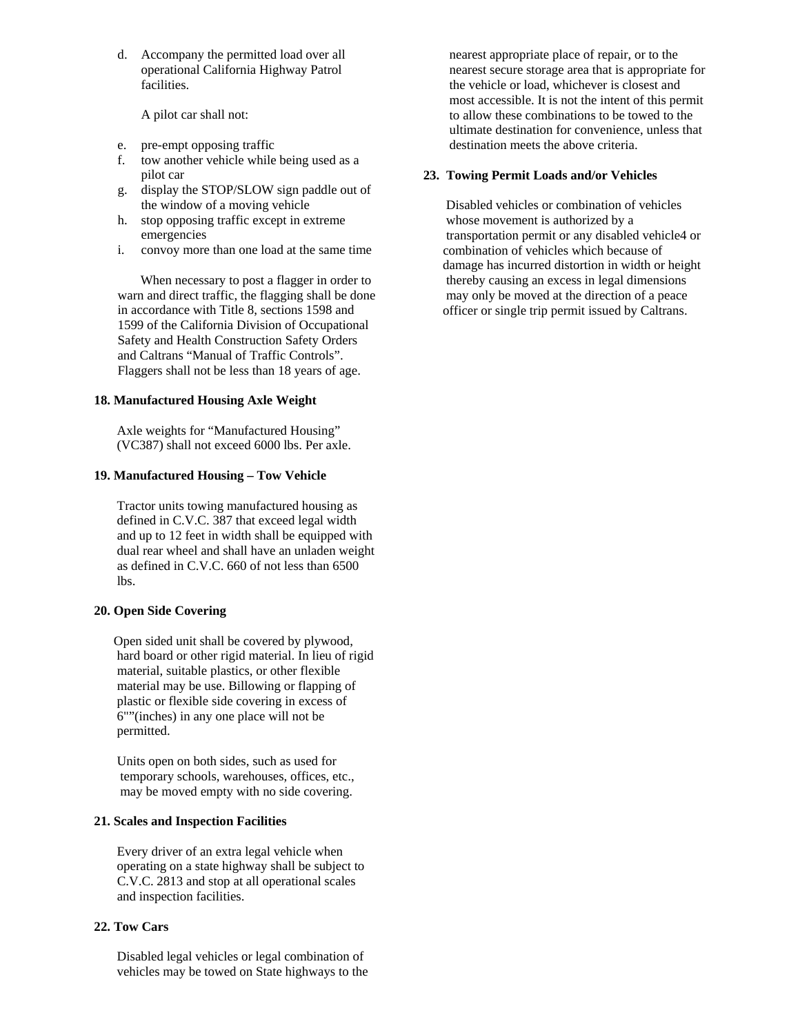d. Accompany the permitted load over all operational California Highway Patrol facilities.

A pilot car shall not:

- e. pre-empt opposing traffic
- f. tow another vehicle while being used as a pilot car
- g. display the STOP/SLOW sign paddle out of the window of a moving vehicle
- h. stop opposing traffic except in extreme emergencies
- i. convoy more than one load at the same time

 When necessary to post a flagger in order to warn and direct traffic, the flagging shall be done in accordance with Title 8, sections 1598 and 1599 of the California Division of Occupational Safety and Health Construction Safety Orders and Caltrans "Manual of Traffic Controls". Flaggers shall not be less than 18 years of age.

### **18. Manufactured Housing Axle Weight**

Axle weights for "Manufactured Housing" (VC387) shall not exceed 6000 lbs. Per axle.

# **19. Manufactured Housing – Tow Vehicle**

Tractor units towing manufactured housing as defined in C.V.C. 387 that exceed legal width and up to 12 feet in width shall be equipped with dual rear wheel and shall have an unladen weight as defined in C.V.C. 660 of not less than 6500 lbs.

# **20. Open Side Covering**

Open sided unit shall be covered by plywood, hard board or other rigid material. In lieu of rigid material, suitable plastics, or other flexible material may be use. Billowing or flapping of plastic or flexible side covering in excess of 6""(inches) in any one place will not be permitted.

 Units open on both sides, such as used for temporary schools, warehouses, offices, etc., may be moved empty with no side covering.

# **21. Scales and Inspection Facilities**

Every driver of an extra legal vehicle when operating on a state highway shall be subject to C.V.C. 2813 and stop at all operational scales and inspection facilities.

# **22. Tow Cars**

Disabled legal vehicles or legal combination of vehicles may be towed on State highways to the  nearest appropriate place of repair, or to the nearest secure storage area that is appropriate for the vehicle or load, whichever is closest and most accessible. It is not the intent of this permit to allow these combinations to be towed to the ultimate destination for convenience, unless that destination meets the above criteria.

### **23. Towing Permit Loads and/or Vehicles**

Disabled vehicles or combination of vehicles whose movement is authorized by a transportation permit or any disabled vehicle4 or combination of vehicles which because of damage has incurred distortion in width or height thereby causing an excess in legal dimensions may only be moved at the direction of a peace officer or single trip permit issued by Caltrans.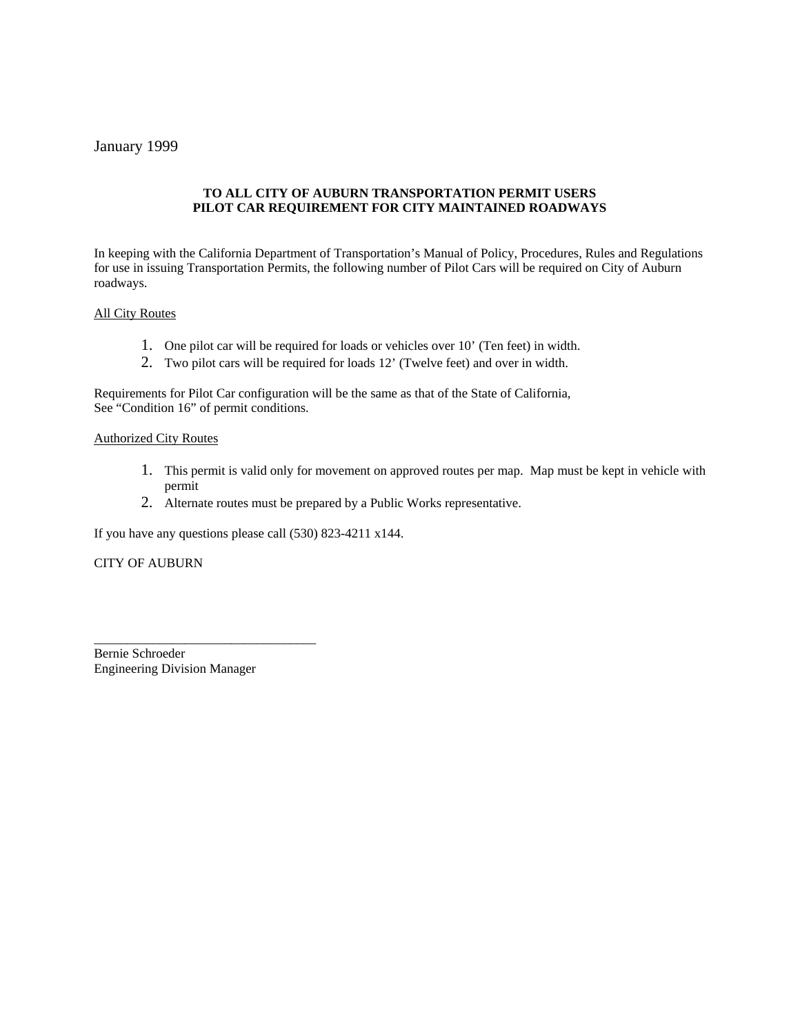# January 1999

# **TO ALL CITY OF AUBURN TRANSPORTATION PERMIT USERS PILOT CAR REQUIREMENT FOR CITY MAINTAINED ROADWAYS**

In keeping with the California Department of Transportation's Manual of Policy, Procedures, Rules and Regulations for use in issuing Transportation Permits, the following number of Pilot Cars will be required on City of Auburn roadways.

### All City Routes

- 1. One pilot car will be required for loads or vehicles over 10' (Ten feet) in width.
- 2. Two pilot cars will be required for loads 12' (Twelve feet) and over in width.

Requirements for Pilot Car configuration will be the same as that of the State of California, See "Condition 16" of permit conditions.

#### Authorized City Routes

- 1. This permit is valid only for movement on approved routes per map. Map must be kept in vehicle with permit
- 2. Alternate routes must be prepared by a Public Works representative.

If you have any questions please call (530) 823-4211 x144.

CITY OF AUBURN

Bernie Schroeder Engineering Division Manager

\_\_\_\_\_\_\_\_\_\_\_\_\_\_\_\_\_\_\_\_\_\_\_\_\_\_\_\_\_\_\_\_\_\_